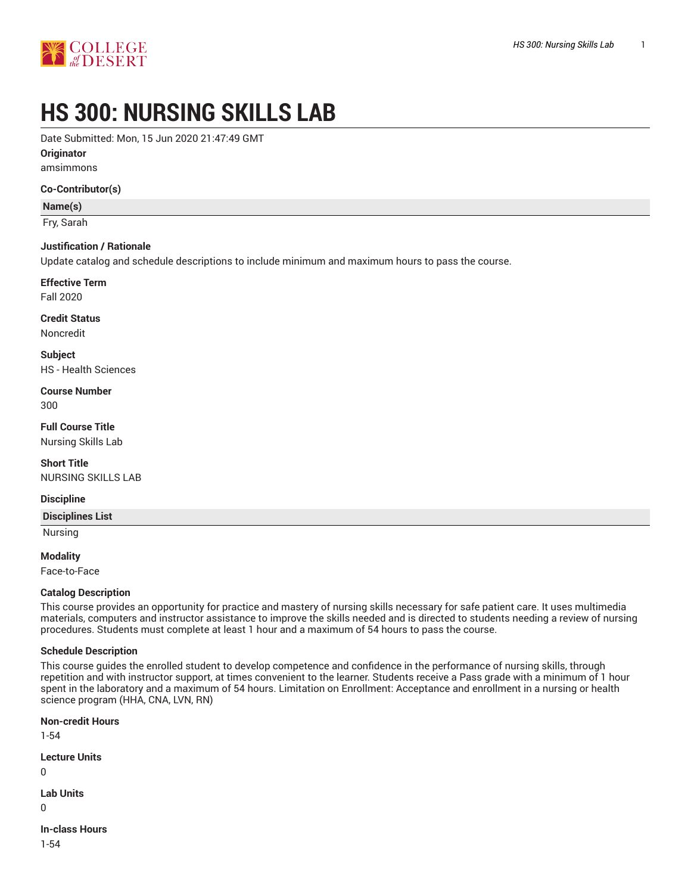

# **HS 300: NURSING SKILLS LAB**

Date Submitted: Mon, 15 Jun 2020 21:47:49 GMT

**Originator**

amsimmons

**Co-Contributor(s)**

**Name(s)**

Fry, Sarah

#### **Justification / Rationale**

Update catalog and schedule descriptions to include minimum and maximum hours to pass the course.

# **Effective Term**

Fall 2020

#### **Credit Status**

Noncredit

**Subject**

HS - Health Sciences

**Course Number** 300

**Full Course Title** Nursing Skills Lab

**Short Title** NURSING SKILLS LAB

#### **Discipline**

**Disciplines List**

Nursing

**Modality**

Face-to-Face

#### **Catalog Description**

This course provides an opportunity for practice and mastery of nursing skills necessary for safe patient care. It uses multimedia materials, computers and instructor assistance to improve the skills needed and is directed to students needing a review of nursing procedures. Students must complete at least 1 hour and a maximum of 54 hours to pass the course.

#### **Schedule Description**

This course guides the enrolled student to develop competence and confidence in the performance of nursing skills, through repetition and with instructor support, at times convenient to the learner. Students receive a Pass grade with a minimum of 1 hour spent in the laboratory and a maximum of 54 hours. Limitation on Enrollment: Acceptance and enrollment in a nursing or health science program (HHA, CNA, LVN, RN)

**Non-credit Hours** 1-54 **Lecture Units** 0 **Lab Units** 0 **In-class Hours**

1-54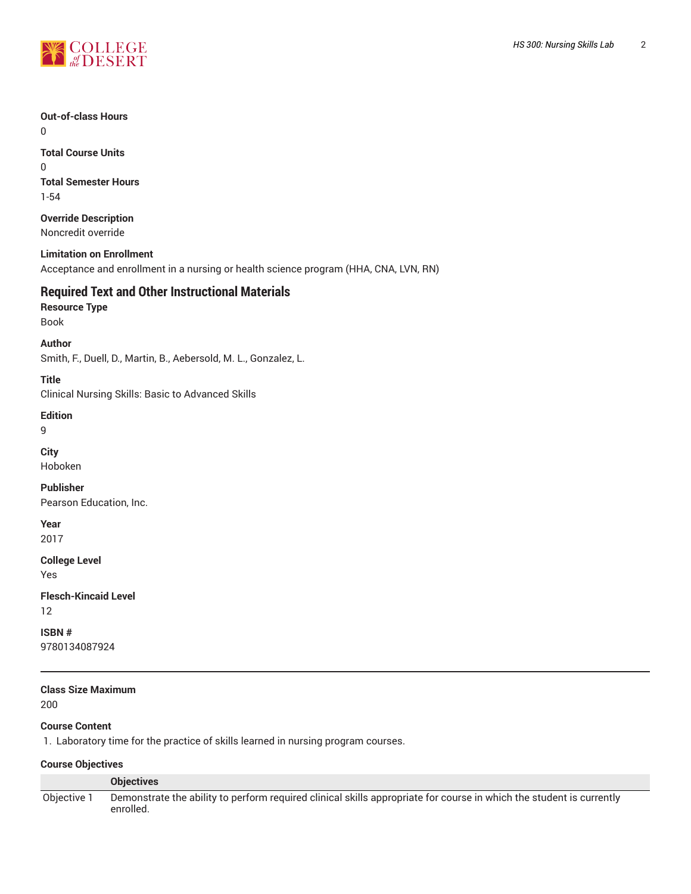

#### **Out-of-class Hours**

0

#### **Total Course Units** 0 **Total Semester Hours**

1-54

#### **Override Description** Noncredit override

**Limitation on Enrollment**

Acceptance and enrollment in a nursing or health science program (HHA, CNA, LVN, RN)

# **Required Text and Other Instructional Materials**

**Resource Type**

Book

#### **Author**

Smith, F., Duell, D., Martin, B., Aebersold, M. L., Gonzalez, L.

#### **Title**

Clinical Nursing Skills: Basic to Advanced Skills

#### **Edition**

9

**City**

Hoboken

**Publisher** Pearson Education, Inc.

# **Year**

2017

# **College Level**

Yes

# **Flesch-Kincaid Level**

12

#### **ISBN #**

9780134087924

# **Class Size Maximum**

200

### **Course Content**

1. Laboratory time for the practice of skills learned in nursing program courses.

#### **Course Objectives**

|             | <b>Objectives</b>                                                                                                                 |
|-------------|-----------------------------------------------------------------------------------------------------------------------------------|
| Obiective 1 | Demonstrate the ability to perform required clinical skills appropriate for course in which the student is currently<br>enrolled. |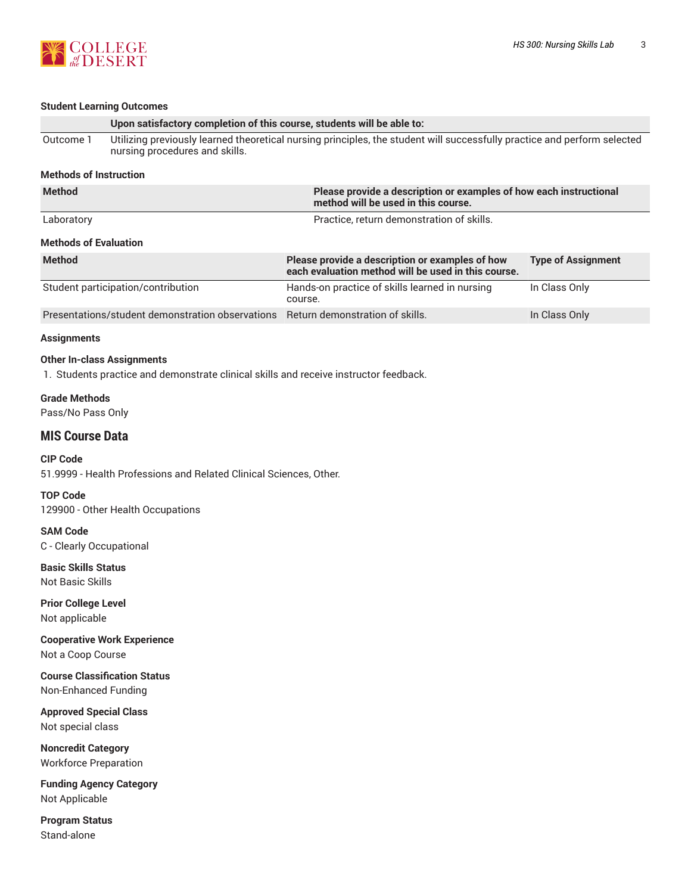

Stand-alone

|                                                           | <b>Student Learning Outcomes</b>                                                                                                                           |                                                                                                           |                           |  |
|-----------------------------------------------------------|------------------------------------------------------------------------------------------------------------------------------------------------------------|-----------------------------------------------------------------------------------------------------------|---------------------------|--|
|                                                           | Upon satisfactory completion of this course, students will be able to:                                                                                     |                                                                                                           |                           |  |
| Outcome 1                                                 | Utilizing previously learned theoretical nursing principles, the student will successfully practice and perform selected<br>nursing procedures and skills. |                                                                                                           |                           |  |
| <b>Methods of Instruction</b>                             |                                                                                                                                                            |                                                                                                           |                           |  |
| <b>Method</b>                                             |                                                                                                                                                            | Please provide a description or examples of how each instructional<br>method will be used in this course. |                           |  |
| Laboratory                                                |                                                                                                                                                            | Practice, return demonstration of skills.                                                                 |                           |  |
| <b>Methods of Evaluation</b>                              |                                                                                                                                                            |                                                                                                           |                           |  |
| <b>Method</b>                                             |                                                                                                                                                            | Please provide a description or examples of how<br>each evaluation method will be used in this course.    | <b>Type of Assignment</b> |  |
|                                                           | Student participation/contribution                                                                                                                         | Hands-on practice of skills learned in nursing<br>course.                                                 | In Class Only             |  |
|                                                           | Presentations/student demonstration observations                                                                                                           | Return demonstration of skills.                                                                           | In Class Only             |  |
| <b>Assignments</b>                                        |                                                                                                                                                            |                                                                                                           |                           |  |
|                                                           | <b>Other In-class Assignments</b><br>1. Students practice and demonstrate clinical skills and receive instructor feedback.                                 |                                                                                                           |                           |  |
| <b>Grade Methods</b><br>Pass/No Pass Only                 |                                                                                                                                                            |                                                                                                           |                           |  |
| <b>MIS Course Data</b>                                    |                                                                                                                                                            |                                                                                                           |                           |  |
| <b>CIP Code</b>                                           | 51.9999 - Health Professions and Related Clinical Sciences, Other.                                                                                         |                                                                                                           |                           |  |
| <b>TOP Code</b>                                           | 129900 - Other Health Occupations                                                                                                                          |                                                                                                           |                           |  |
| <b>SAM Code</b><br>C - Clearly Occupational               |                                                                                                                                                            |                                                                                                           |                           |  |
| <b>Basic Skills Status</b><br>Not Basic Skills            |                                                                                                                                                            |                                                                                                           |                           |  |
| <b>Prior College Level</b><br>Not applicable              |                                                                                                                                                            |                                                                                                           |                           |  |
| Not a Coop Course                                         | <b>Cooperative Work Experience</b>                                                                                                                         |                                                                                                           |                           |  |
| Non-Enhanced Funding                                      | <b>Course Classification Status</b>                                                                                                                        |                                                                                                           |                           |  |
| <b>Approved Special Class</b><br>Not special class        |                                                                                                                                                            |                                                                                                           |                           |  |
| <b>Noncredit Category</b><br><b>Workforce Preparation</b> |                                                                                                                                                            |                                                                                                           |                           |  |
| <b>Funding Agency Category</b><br>Not Applicable          |                                                                                                                                                            |                                                                                                           |                           |  |
| <b>Program Status</b>                                     |                                                                                                                                                            |                                                                                                           |                           |  |